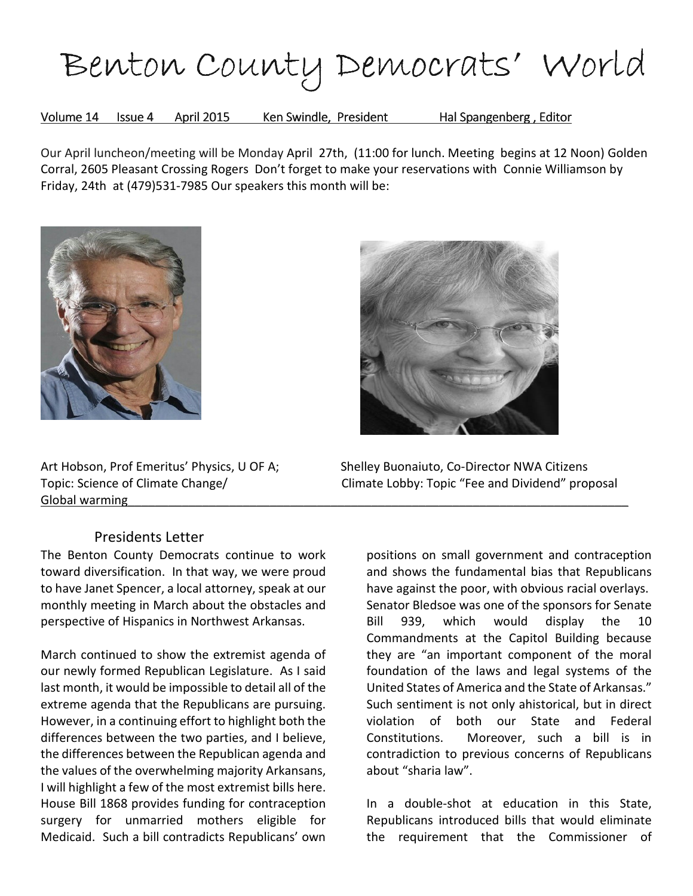

Volume 14 Issue 4 April 2015 Ken Swindle, President Hal Spangenberg, Editor

Our April luncheon/meeting will be Monday April 27th, (11:00 for lunch. Meeting begins at 12 Noon) Golden Corral, 2605 Pleasant Crossing Rogers Don't forget to make your reservations with Connie Williamson by Friday, 24th at (479)531-7985 Our speakers this month will be:



Global warming



Art Hobson, Prof Emeritus' Physics, U OF A; Shelley Buonaiuto, Co-Director NWA Citizens Topic: Science of Climate Change/ Climate Lobby: Topic "Fee and Dividend" proposal

## Presidents Letter

The Benton County Democrats continue to work toward diversification. In that way, we were proud to have Janet Spencer, a local attorney, speak at our monthly meeting in March about the obstacles and perspective of Hispanics in Northwest Arkansas.

March continued to show the extremist agenda of our newly formed Republican Legislature. As I said last month, it would be impossible to detail all of the extreme agenda that the Republicans are pursuing. However, in a continuing effort to highlight both the differences between the two parties, and I believe, the differences between the Republican agenda and the values of the overwhelming majority Arkansans, I will highlight a few of the most extremist bills here. House Bill 1868 provides funding for contraception surgery for unmarried mothers eligible for Medicaid. Such a bill contradicts Republicans' own

positions on small government and contraception and shows the fundamental bias that Republicans have against the poor, with obvious racial overlays. Senator Bledsoe was one of the sponsors for Senate Bill 939, which would display the 10 Commandments at the Capitol Building because they are "an important component of the moral foundation of the laws and legal systems of the United States of America and the State of Arkansas." Such sentiment is not only ahistorical, but in direct violation of both our State and Federal Constitutions. Moreover, such a bill is in contradiction to previous concerns of Republicans about "sharia law".

In a double-shot at education in this State, Republicans introduced bills that would eliminate the requirement that the Commissioner of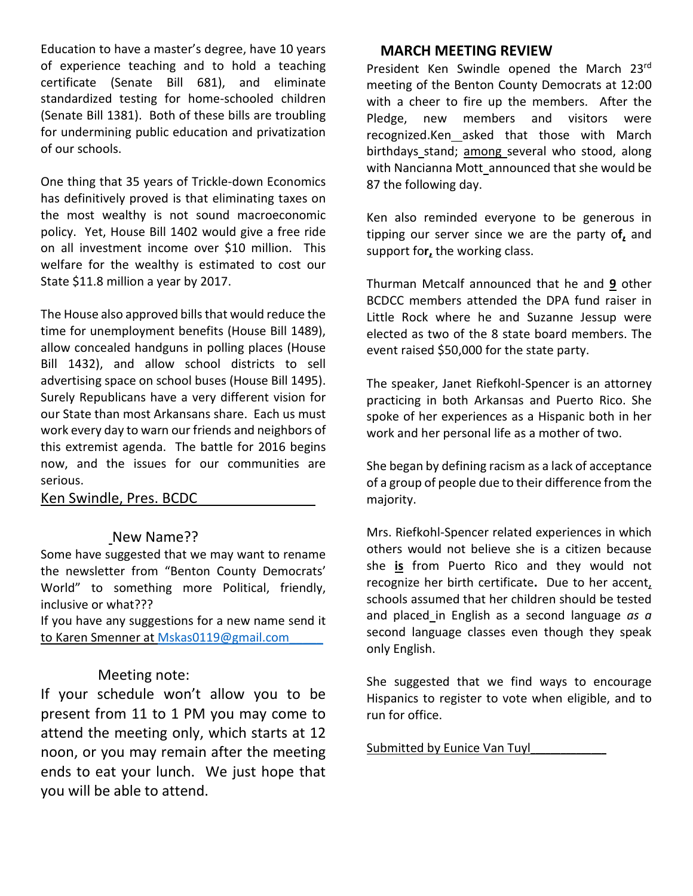Education to have a master's degree, have 10 years of experience teaching and to hold a teaching certificate (Senate Bill 681), and eliminate standardized testing for home-schooled children (Senate Bill 1381). Both of these bills are troubling for undermining public education and privatization of our schools.

One thing that 35 years of Trickle-down Economics has definitively proved is that eliminating taxes on the most wealthy is not sound macroeconomic policy. Yet, House Bill 1402 would give a free ride on all investment income over \$10 million. This welfare for the wealthy is estimated to cost our State \$11.8 million a year by 2017.

The House also approved bills that would reduce the time for unemployment benefits (House Bill 1489), allow concealed handguns in polling places (House Bill 1432), and allow school districts to sell advertising space on school buses (House Bill 1495). Surely Republicans have a very different vision for our State than most Arkansans share. Each us must work every day to warn our friends and neighbors of this extremist agenda. The battle for 2016 begins now, and the issues for our communities are serious.

Ken Swindle, Pres. BCDC

#### New Name??

Some have suggested that we may want to rename the newsletter from "Benton County Democrats' World" to something more Political, friendly, inclusive or what???

If you have any suggestions for a new name send it to Karen Smenner at Mskas0119@gmail.com

#### Meeting note:

If your schedule won't allow you to be present from 11 to 1 PM you may come to attend the meeting only, which starts at 12 noon, or you may remain after the meeting ends to eat your lunch. We just hope that you will be able to attend.

#### MARCH MEETING REVIEW

President Ken Swindle opened the March 23rd meeting of the Benton County Democrats at 12:00 with a cheer to fire up the members. After the Pledge, new members and visitors were recognized.Ken\_asked that those with March birthdays stand; among several who stood, along with Nancianna Mott announced that she would be 87 the following day.

Ken also reminded everyone to be generous in tipping our server since we are the party of, and support for, the working class.

Thurman Metcalf announced that he and 9 other BCDCC members attended the DPA fund raiser in Little Rock where he and Suzanne Jessup were elected as two of the 8 state board members. The event raised \$50,000 for the state party.

The speaker, Janet Riefkohl-Spencer is an attorney practicing in both Arkansas and Puerto Rico. She spoke of her experiences as a Hispanic both in her work and her personal life as a mother of two.

She began by defining racism as a lack of acceptance of a group of people due to their difference from the majority.

Mrs. Riefkohl-Spencer related experiences in which others would not believe she is a citizen because she is from Puerto Rico and they would not recognize her birth certificate. Due to her accent, schools assumed that her children should be tested and placed in English as a second language  $as \ a$ second language classes even though they speak only English.

She suggested that we find ways to encourage Hispanics to register to vote when eligible, and to run for office.

Submitted by Eunice Van Tuyl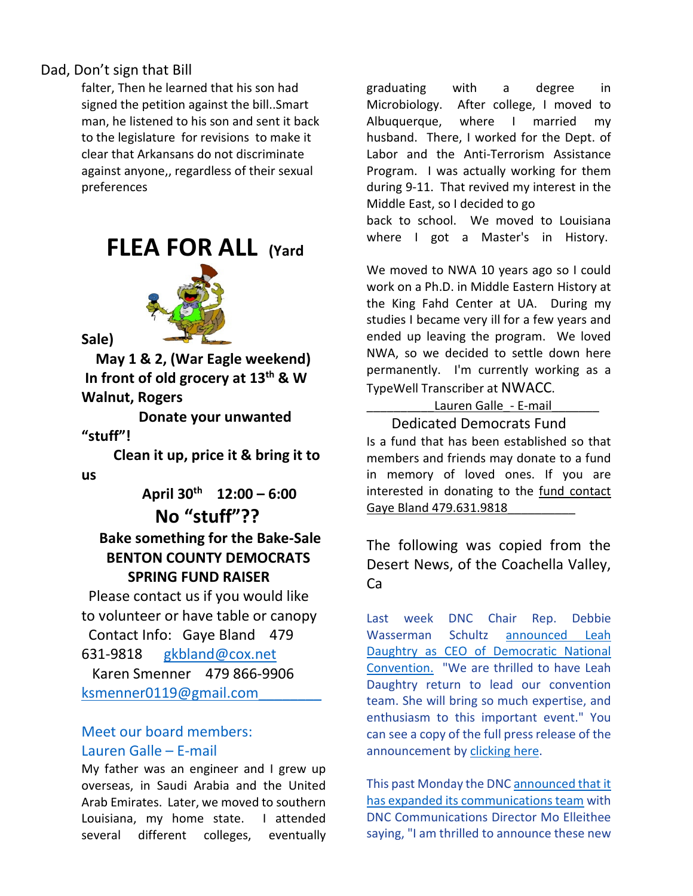## Dad, Don't sign that Bill

falter, Then he learned that his son had signed the petition against the bill..Smart man, he listened to his son and sent it back to the legislature for revisions to make it clear that Arkansans do not discriminate against anyone,, regardless of their sexual preferences



#### Sale)

 May 1 & 2, (War Eagle weekend) In front of old grocery at 13<sup>th</sup> & W Walnut, Rogers

 Donate your unwanted "stuff"!

 Clean it up, price it & bring it to us

April  $30^{th}$  12:00 – 6:00 No "stuff"?? Bake something for the Bake-Sale BENTON COUNTY DEMOCRATS SPRING FUND RAISER

 Please contact us if you would like to volunteer or have table or canopy Contact Info: Gaye Bland 479 631-9818 gkbland@cox.net

 Karen Smenner 479 866-9906 ksmenner0119@gmail.com\_\_\_\_\_\_\_\_

# Meet our board members: Lauren Galle – E-mail

My father was an engineer and I grew up overseas, in Saudi Arabia and the United Arab Emirates. Later, we moved to southern Louisiana, my home state. I attended several different colleges, eventually

graduating with a degree in Microbiology. After college, I moved to Albuquerque, where I married my husband. There, I worked for the Dept. of Labor and the Anti-Terrorism Assistance Program. I was actually working for them during 9-11. That revived my interest in the Middle East, so I decided to go back to school. We moved to Louisiana where I got a Master's in History.

We moved to NWA 10 years ago so I could work on a Ph.D. in Middle Eastern History at the King Fahd Center at UA. During my studies I became very ill for a few years and ended up leaving the program. We loved NWA, so we decided to settle down here permanently. I'm currently working as a TypeWell Transcriber at NWACC.

Lauren Galle - E-mail

 Dedicated Democrats Fund Is a fund that has been established so that members and friends may donate to a fund in memory of loved ones. If you are interested in donating to the fund contact Gaye Bland 479.631.9818\_\_\_\_\_\_\_\_\_\_

The following was copied from the Desert News, of the Coachella Valley, Ca

Last week DNC Chair Rep. Debbie Wasserman Schultz announced Leah Daughtry as CEO of Democratic National Convention. "We are thrilled to have Leah Daughtry return to lead our convention team. She will bring so much expertise, and enthusiasm to this important event." You can see a copy of the full press release of the announcement by clicking here.

This past Monday the DNC announced that it has expanded its communications team with DNC Communications Director Mo Elleithee saying, "I am thrilled to announce these new